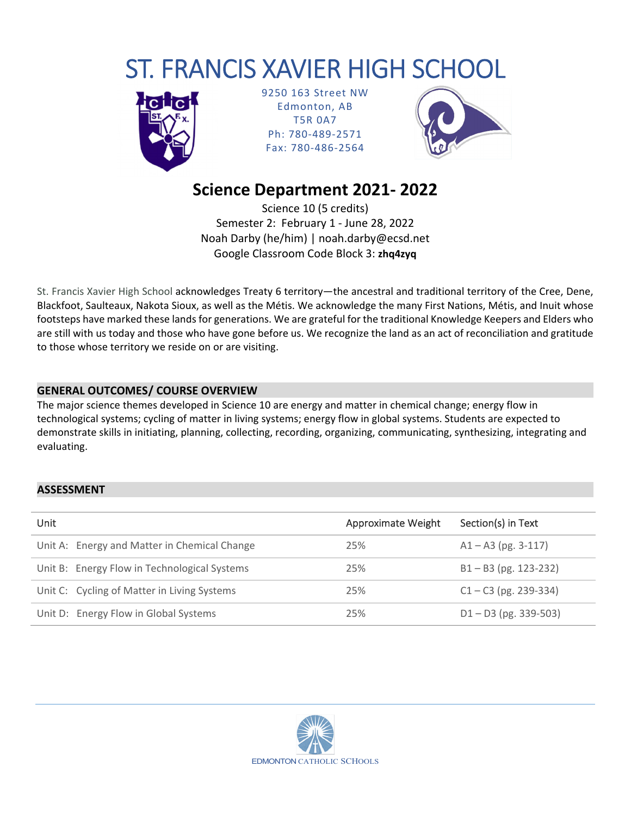# ST. FRANCIS XAVIER HIGH SCHOOL



9250 163 Street NW Edmonton, AB T5R 0A7 Ph: 780‐489‐2571 Fax: 780‐486‐2564



## **Science Department 2021‐ 2022**

Science 10 (5 credits) Semester 2: February 1 ‐ June 28, 2022 Noah Darby (he/him) | noah.darby@ecsd.net Google Classroom Code Block 3: **zhq4zyq**

St. Francis Xavier High School acknowledges Treaty 6 territory—the ancestral and traditional territory of the Cree, Dene, Blackfoot, Saulteaux, Nakota Sioux, as well as the Métis. We acknowledge the many First Nations, Métis, and Inuit whose footsteps have marked these lands for generations. We are grateful for the traditional Knowledge Keepers and Elders who are still with us today and those who have gone before us. We recognize the land as an act of reconciliation and gratitude to those whose territory we reside on or are visiting.

## **GENERAL OUTCOMES/ COURSE OVERVIEW**

The major science themes developed in Science 10 are energy and matter in chemical change; energy flow in technological systems; cycling of matter in living systems; energy flow in global systems. Students are expected to demonstrate skills in initiating, planning, collecting, recording, organizing, communicating, synthesizing, integrating and evaluating.

## $\mathsf{ASSESSMENT}$  . The contract of  $\mathsf{SUSLSSMENT}$  is a set of  $\mathsf{SUSLSSMENT}$  . The contract of  $\mathsf{SUSLSSMENT}$

| Unit |                                              | <b>Approximate Weight</b> | Section(s) in Text      |
|------|----------------------------------------------|---------------------------|-------------------------|
|      | Unit A: Energy and Matter in Chemical Change | 25%                       | $A1 - A3$ (pg. 3-117)   |
|      | Unit B: Energy Flow in Technological Systems | 25%                       | $B1 - B3$ (pg. 123-232) |
|      | Unit C: Cycling of Matter in Living Systems  | 25%                       | $C1 - C3$ (pg. 239-334) |
|      | Unit D: Energy Flow in Global Systems        | 25%                       | $D1 - D3$ (pg. 339-503) |

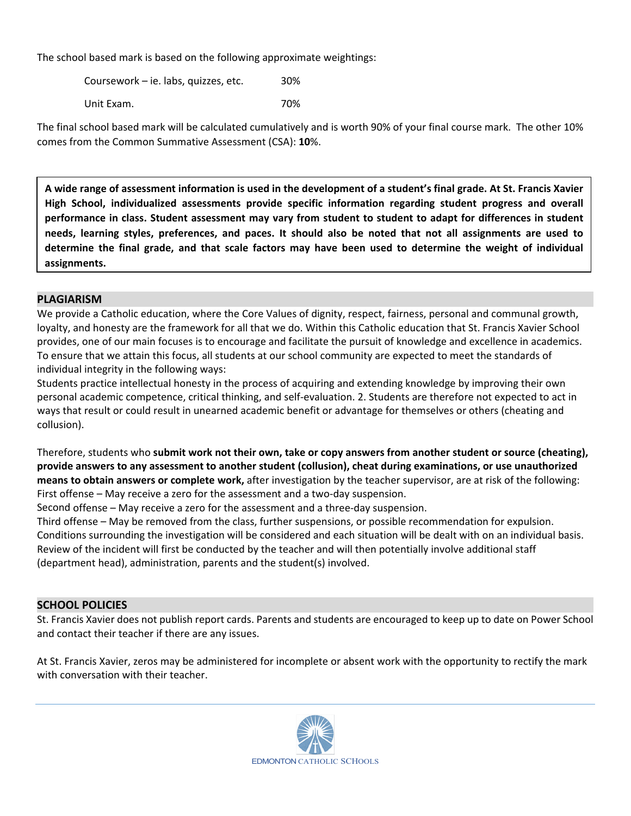The school based mark is based on the following approximate weightings:

Coursework – ie. labs, quizzes, etc. 30% Unit Exam. 70%

The final school based mark will be calculated cumulatively and is worth 90% of your final course mark. The other 10% comes from the Common Summative Assessment (CSA): **10**%.

A wide range of assessment information is used in the development of a student's final grade. At St. Francis Xavier **High School, individualized assessments provide specific information regarding student progress and overall** performance in class. Student assessment may vary from student to student to adapt for differences in student needs, learning styles, preferences, and paces. It should also be noted that not all assignments are used to determine the final grade, and that scale factors may have been used to determine the weight of individual **assignments.**

## **PLAGIARISM**

We provide a Catholic education, where the Core Values of dignity, respect, fairness, personal and communal growth, loyalty, and honesty are the framework for all that we do. Within this Catholic education that St. Francis Xavier School provides, one of our main focuses is to encourage and facilitate the pursuit of knowledge and excellence in academics. To ensure that we attain this focus, all students at our school community are expected to meet the standards of individual integrity in the following ways:

Students practice intellectual honesty in the process of acquiring and extending knowledge by improving their own personal academic competence, critical thinking, and self‐evaluation. 2. Students are therefore not expected to act in ways that result or could result in unearned academic benefit or advantage for themselves or others (cheating and collusion).

Therefore, students who **submit work not their own, take or copy answers from another student or source (cheating), provide answers to any assessment to another student (collusion), cheat during examinations, or use unauthorized means to obtain answers or complete work,** after investigation by the teacher supervisor, are at risk of the following: First offense – May receive a zero for the assessment and a two-day suspension.

Second offense – May receive a zero for the assessment and a three-day suspension.

Third offense – May be removed from the class, further suspensions, or possible recommendation for expulsion. Conditions surrounding the investigation will be considered and each situation will be dealt with on an individual basis. Review of the incident will first be conducted by the teacher and will then potentially involve additional staff (department head), administration, parents and the student(s) involved.

#### **SCHOOL POLICIES**

St. Francis Xavier does not publish report cards. Parents and students are encouraged to keep up to date on Power School and contact their teacher if there are any issues.

At St. Francis Xavier, zeros may be administered for incomplete or absent work with the opportunity to rectify the mark with conversation with their teacher.